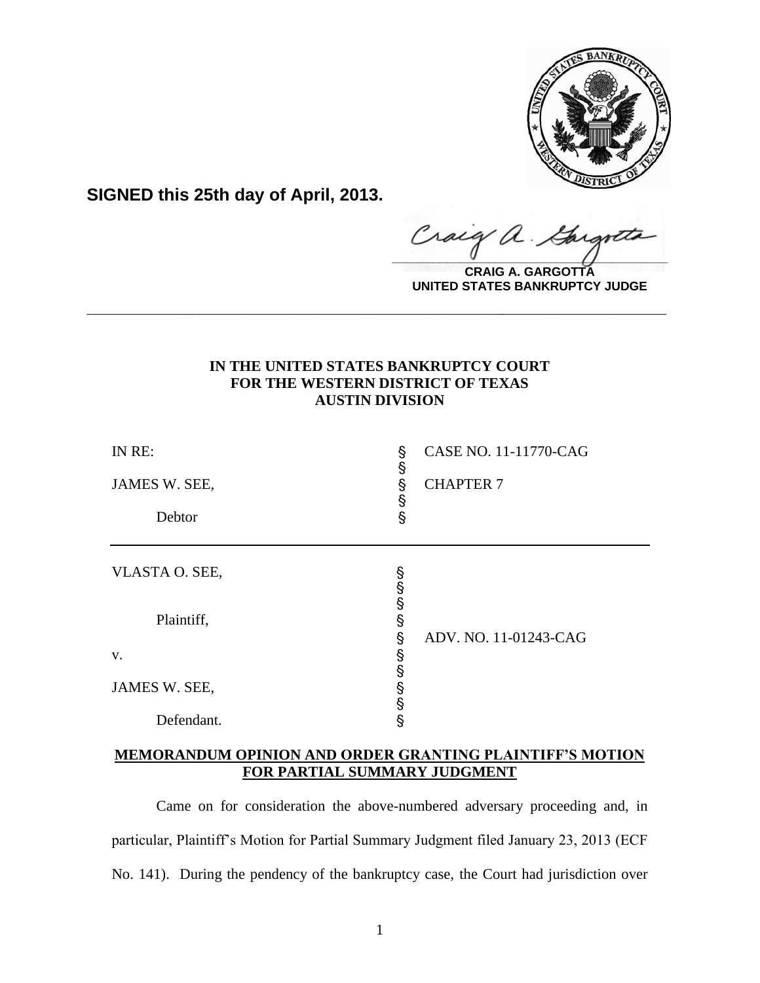

**SIGNED this 25th day of April, 2013.**

raig ' U  $\frac{1}{2}$ 

**CRAIG A. GARGOTTA UNITED STATES BANKRUPTCY JUDGE**

# **IN THE UNITED STATES BANKRUPTCY COURT FOR THE WESTERN DISTRICT OF TEXAS AUSTIN DIVISION**

**\_\_\_\_\_\_\_\_\_\_\_\_\_\_\_\_\_\_\_\_\_\_\_\_\_\_\_\_\_\_\_\_\_\_\_\_\_\_\_\_\_\_\_\_\_\_\_\_\_\_\_\_\_\_\_\_\_\_\_\_**

| IN RE:<br>JAMES W. SEE,<br>Debtor | §<br>န<br>တ္တယ္ | CASE NO. 11-11770-CAG<br><b>CHAPTER 7</b> |
|-----------------------------------|-----------------|-------------------------------------------|
| VLASTA O. SEE,                    | တယ်တွယ်         |                                           |
| Plaintiff,                        | Ş               | ADV. NO. 11-01243-CAG                     |
| V.                                | §<br>§          |                                           |
| JAMES W. SEE,                     | တစ္စ            |                                           |
| Defendant.                        |                 |                                           |

### **MEMORANDUM OPINION AND ORDER GRANTING PLAINTIFF'S MOTION FOR PARTIAL SUMMARY JUDGMENT**

Came on for consideration the above-numbered adversary proceeding and, in particular, Plaintiff's Motion for Partial Summary Judgment filed January 23, 2013 (ECF No. 141). During the pendency of the bankruptcy case, the Court had jurisdiction over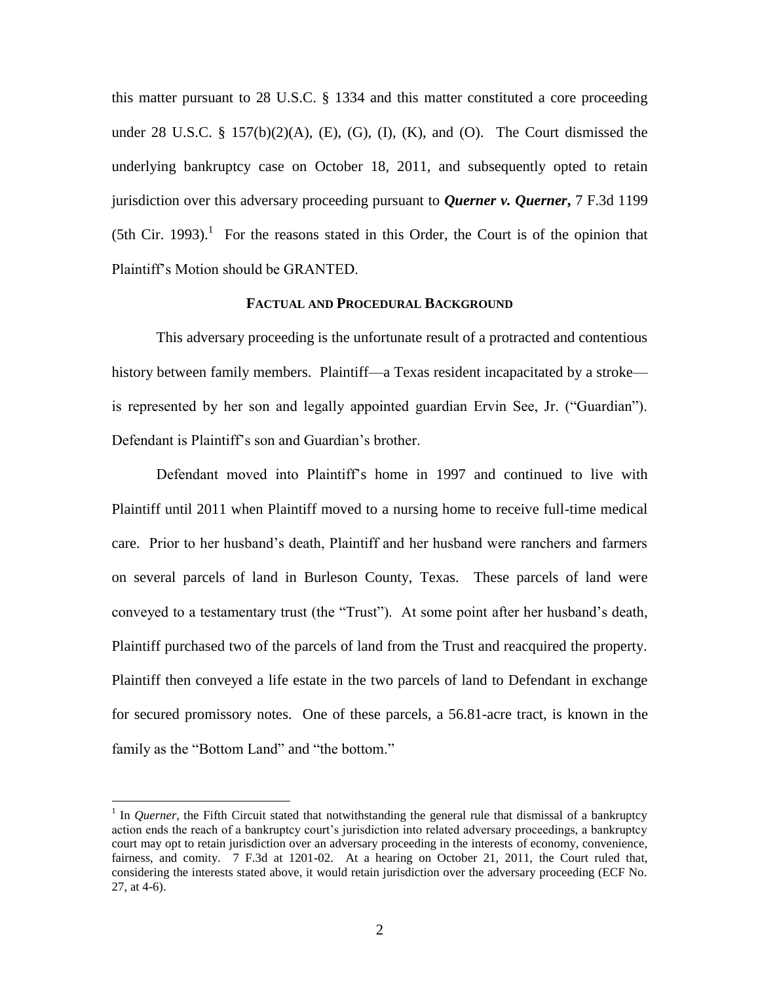this matter pursuant to 28 U.S.C. § 1334 and this matter constituted a core proceeding under  $28$  U.S.C.  $\S$  157(b)(2)(A), (E), (G), (I), (K), and (O). The Court dismissed the underlying bankruptcy case on October 18, 2011, and subsequently opted to retain jurisdiction over this adversary proceeding pursuant to *Querner v. Querner***,** 7 F.3d 1199  $(5th Cir. 1993).$ <sup>1</sup> For the reasons stated in this Order, the Court is of the opinion that Plaintiff's Motion should be GRANTED.

#### **FACTUAL AND PROCEDURAL BACKGROUND**

This adversary proceeding is the unfortunate result of a protracted and contentious history between family members. Plaintiff—a Texas resident incapacitated by a stroke is represented by her son and legally appointed guardian Ervin See, Jr. ("Guardian"). Defendant is Plaintiff's son and Guardian's brother.

Defendant moved into Plaintiff's home in 1997 and continued to live with Plaintiff until 2011 when Plaintiff moved to a nursing home to receive full-time medical care. Prior to her husband's death, Plaintiff and her husband were ranchers and farmers on several parcels of land in Burleson County, Texas. These parcels of land were conveyed to a testamentary trust (the "Trust"). At some point after her husband's death, Plaintiff purchased two of the parcels of land from the Trust and reacquired the property. Plaintiff then conveyed a life estate in the two parcels of land to Defendant in exchange for secured promissory notes. One of these parcels, a 56.81-acre tract, is known in the family as the "Bottom Land" and "the bottom."

<sup>&</sup>lt;sup>1</sup> In *Querner*, the Fifth Circuit stated that notwithstanding the general rule that dismissal of a bankruptcy action ends the reach of a bankruptcy court's jurisdiction into related adversary proceedings, a bankruptcy court may opt to retain jurisdiction over an adversary proceeding in the interests of economy, convenience, fairness, and comity. 7 F.3d at 1201-02. At a hearing on October 21, 2011, the Court ruled that, considering the interests stated above, it would retain jurisdiction over the adversary proceeding (ECF No. 27, at 4-6).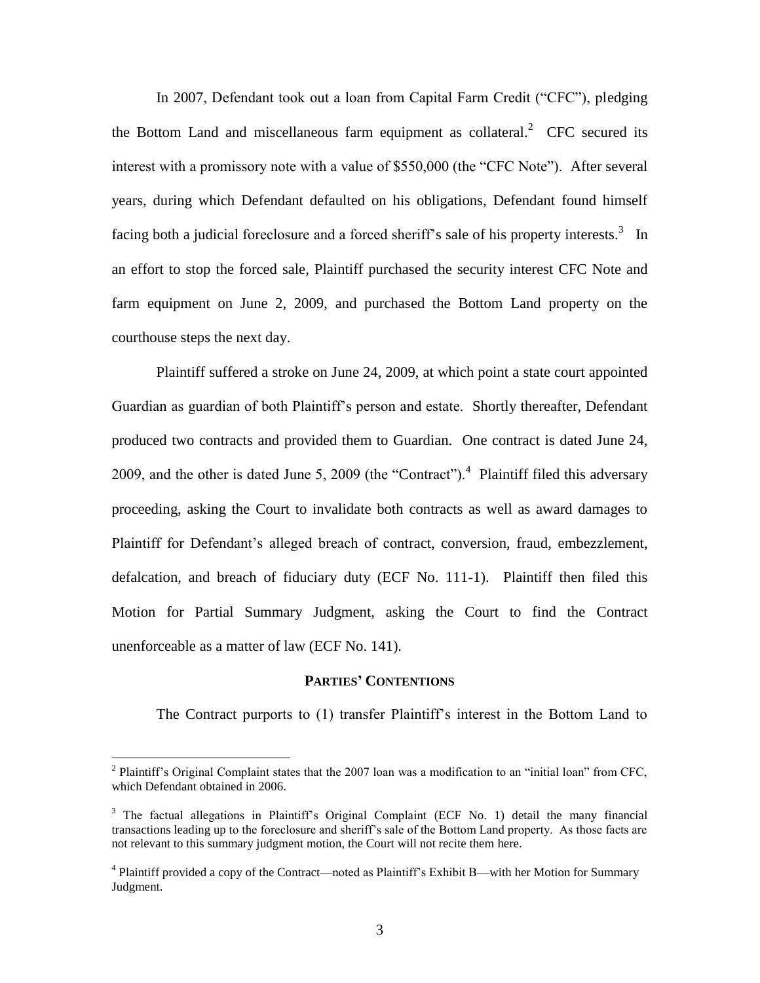In 2007, Defendant took out a loan from Capital Farm Credit ("CFC"), pledging the Bottom Land and miscellaneous farm equipment as collateral.<sup>2</sup> CFC secured its interest with a promissory note with a value of \$550,000 (the "CFC Note"). After several years, during which Defendant defaulted on his obligations, Defendant found himself facing both a judicial foreclosure and a forced sheriff's sale of his property interests.<sup>3</sup> In an effort to stop the forced sale, Plaintiff purchased the security interest CFC Note and farm equipment on June 2, 2009, and purchased the Bottom Land property on the courthouse steps the next day.

Plaintiff suffered a stroke on June 24, 2009, at which point a state court appointed Guardian as guardian of both Plaintiff's person and estate. Shortly thereafter, Defendant produced two contracts and provided them to Guardian. One contract is dated June 24, 2009, and the other is dated June 5, 2009 (the "Contract").<sup>4</sup> Plaintiff filed this adversary proceeding, asking the Court to invalidate both contracts as well as award damages to Plaintiff for Defendant's alleged breach of contract, conversion, fraud, embezzlement, defalcation, and breach of fiduciary duty (ECF No. 111-1). Plaintiff then filed this Motion for Partial Summary Judgment, asking the Court to find the Contract unenforceable as a matter of law (ECF No. 141).

#### **PARTIES' CONTENTIONS**

The Contract purports to (1) transfer Plaintiff's interest in the Bottom Land to

<sup>&</sup>lt;sup>2</sup> Plaintiff's Original Complaint states that the 2007 loan was a modification to an "initial loan" from CFC, which Defendant obtained in 2006.

<sup>&</sup>lt;sup>3</sup> The factual allegations in Plaintiff's Original Complaint (ECF No. 1) detail the many financial transactions leading up to the foreclosure and sheriff's sale of the Bottom Land property. As those facts are not relevant to this summary judgment motion, the Court will not recite them here.

<sup>&</sup>lt;sup>4</sup> Plaintiff provided a copy of the Contract—noted as Plaintiff's Exhibit B—with her Motion for Summary Judgment.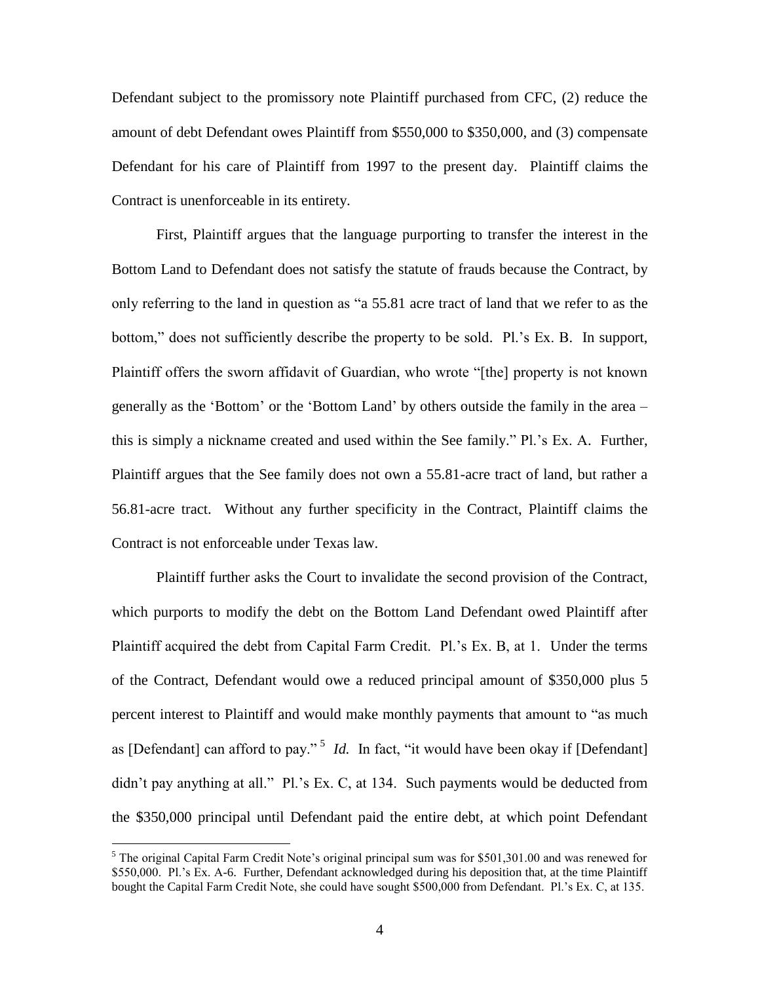Defendant subject to the promissory note Plaintiff purchased from CFC, (2) reduce the amount of debt Defendant owes Plaintiff from \$550,000 to \$350,000, and (3) compensate Defendant for his care of Plaintiff from 1997 to the present day. Plaintiff claims the Contract is unenforceable in its entirety.

First, Plaintiff argues that the language purporting to transfer the interest in the Bottom Land to Defendant does not satisfy the statute of frauds because the Contract, by only referring to the land in question as "a 55.81 acre tract of land that we refer to as the bottom," does not sufficiently describe the property to be sold. Pl.'s Ex. B. In support, Plaintiff offers the sworn affidavit of Guardian, who wrote "[the] property is not known generally as the 'Bottom' or the 'Bottom Land' by others outside the family in the area – this is simply a nickname created and used within the See family." Pl.'s Ex. A. Further, Plaintiff argues that the See family does not own a 55.81-acre tract of land, but rather a 56.81-acre tract. Without any further specificity in the Contract, Plaintiff claims the Contract is not enforceable under Texas law.

Plaintiff further asks the Court to invalidate the second provision of the Contract, which purports to modify the debt on the Bottom Land Defendant owed Plaintiff after Plaintiff acquired the debt from Capital Farm Credit. Pl.'s Ex. B, at 1. Under the terms of the Contract, Defendant would owe a reduced principal amount of \$350,000 plus 5 percent interest to Plaintiff and would make monthly payments that amount to "as much as [Defendant] can afford to pay."<sup>5</sup> *Id.* In fact, "it would have been okay if [Defendant] didn't pay anything at all." Pl.'s Ex. C, at 134. Such payments would be deducted from the \$350,000 principal until Defendant paid the entire debt, at which point Defendant

 $<sup>5</sup>$  The original Capital Farm Credit Note's original principal sum was for \$501,301.00 and was renewed for</sup> \$550,000. Pl.'s Ex. A-6. Further, Defendant acknowledged during his deposition that, at the time Plaintiff bought the Capital Farm Credit Note, she could have sought \$500,000 from Defendant. Pl.'s Ex. C, at 135.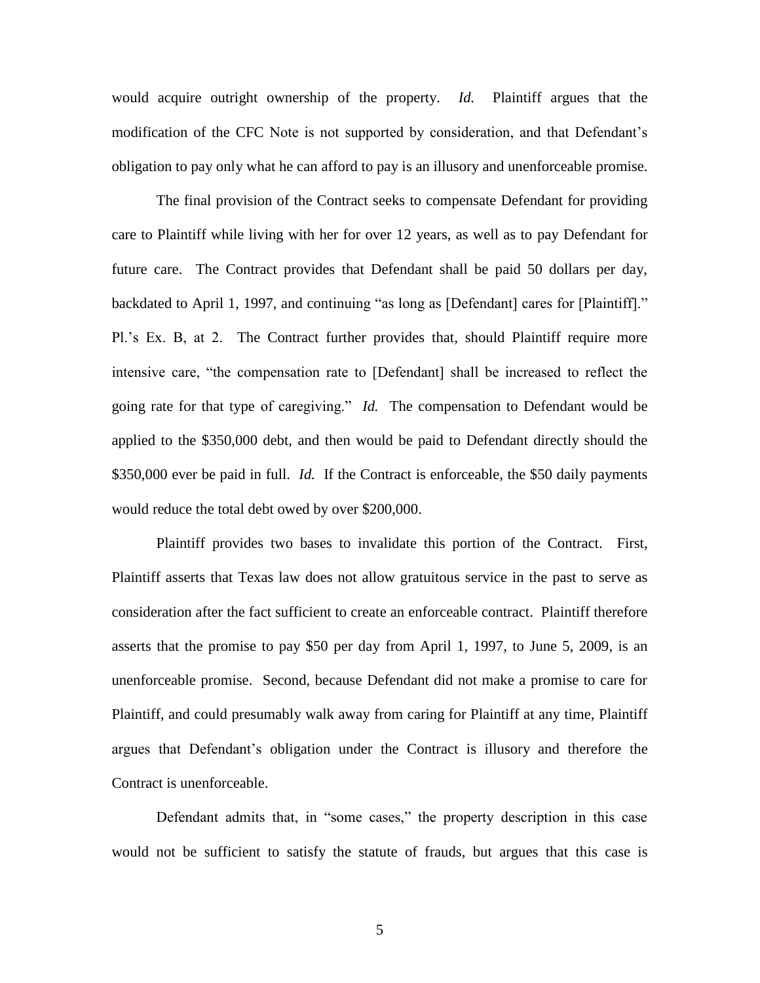would acquire outright ownership of the property. *Id.* Plaintiff argues that the modification of the CFC Note is not supported by consideration, and that Defendant's obligation to pay only what he can afford to pay is an illusory and unenforceable promise.

The final provision of the Contract seeks to compensate Defendant for providing care to Plaintiff while living with her for over 12 years, as well as to pay Defendant for future care. The Contract provides that Defendant shall be paid 50 dollars per day, backdated to April 1, 1997, and continuing "as long as [Defendant] cares for [Plaintiff]." Pl.'s Ex. B, at 2. The Contract further provides that, should Plaintiff require more intensive care, "the compensation rate to [Defendant] shall be increased to reflect the going rate for that type of caregiving." *Id.* The compensation to Defendant would be applied to the \$350,000 debt, and then would be paid to Defendant directly should the \$350,000 ever be paid in full. *Id.* If the Contract is enforceable, the \$50 daily payments would reduce the total debt owed by over \$200,000.

Plaintiff provides two bases to invalidate this portion of the Contract. First, Plaintiff asserts that Texas law does not allow gratuitous service in the past to serve as consideration after the fact sufficient to create an enforceable contract. Plaintiff therefore asserts that the promise to pay \$50 per day from April 1, 1997, to June 5, 2009, is an unenforceable promise. Second, because Defendant did not make a promise to care for Plaintiff, and could presumably walk away from caring for Plaintiff at any time, Plaintiff argues that Defendant's obligation under the Contract is illusory and therefore the Contract is unenforceable.

Defendant admits that, in "some cases," the property description in this case would not be sufficient to satisfy the statute of frauds, but argues that this case is

5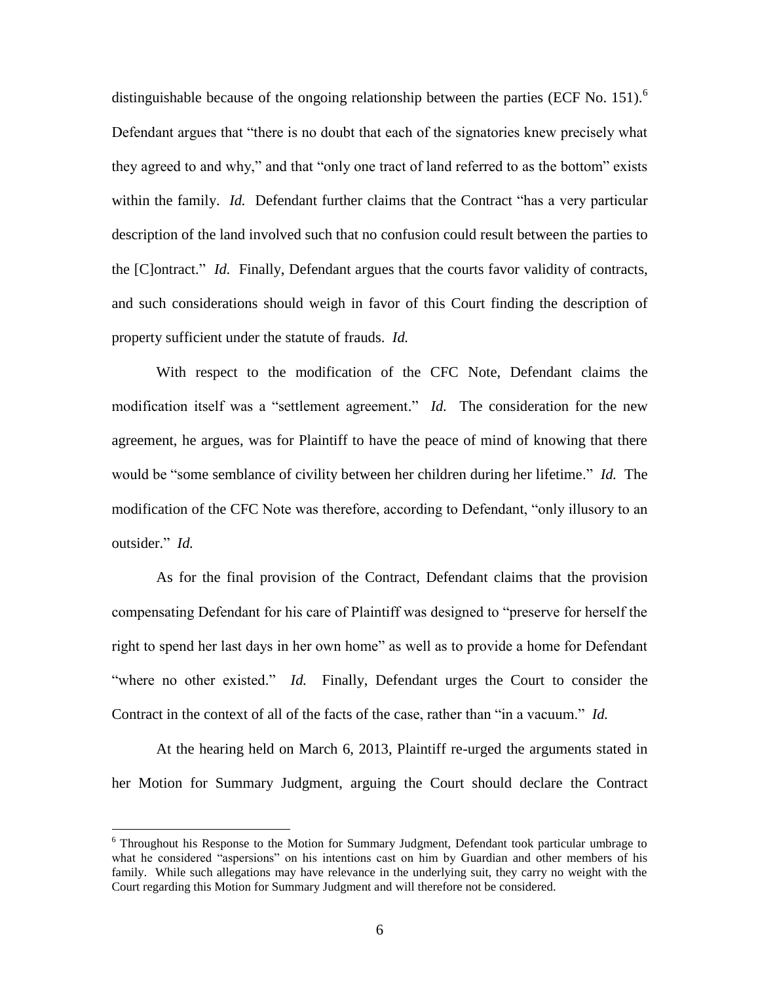distinguishable because of the ongoing relationship between the parties (ECF No. 151).<sup>6</sup> Defendant argues that "there is no doubt that each of the signatories knew precisely what they agreed to and why," and that "only one tract of land referred to as the bottom" exists within the family. *Id.* Defendant further claims that the Contract "has a very particular description of the land involved such that no confusion could result between the parties to the [C]ontract." *Id.* Finally, Defendant argues that the courts favor validity of contracts, and such considerations should weigh in favor of this Court finding the description of property sufficient under the statute of frauds. *Id.*

With respect to the modification of the CFC Note, Defendant claims the modification itself was a "settlement agreement." *Id.* The consideration for the new agreement, he argues, was for Plaintiff to have the peace of mind of knowing that there would be "some semblance of civility between her children during her lifetime." *Id.* The modification of the CFC Note was therefore, according to Defendant, "only illusory to an outsider." *Id.*

As for the final provision of the Contract, Defendant claims that the provision compensating Defendant for his care of Plaintiff was designed to "preserve for herself the right to spend her last days in her own home" as well as to provide a home for Defendant "where no other existed." *Id.* Finally, Defendant urges the Court to consider the Contract in the context of all of the facts of the case, rather than "in a vacuum." *Id.*

At the hearing held on March 6, 2013, Plaintiff re-urged the arguments stated in her Motion for Summary Judgment, arguing the Court should declare the Contract

<sup>&</sup>lt;sup>6</sup> Throughout his Response to the Motion for Summary Judgment, Defendant took particular umbrage to what he considered "aspersions" on his intentions cast on him by Guardian and other members of his family. While such allegations may have relevance in the underlying suit, they carry no weight with the Court regarding this Motion for Summary Judgment and will therefore not be considered.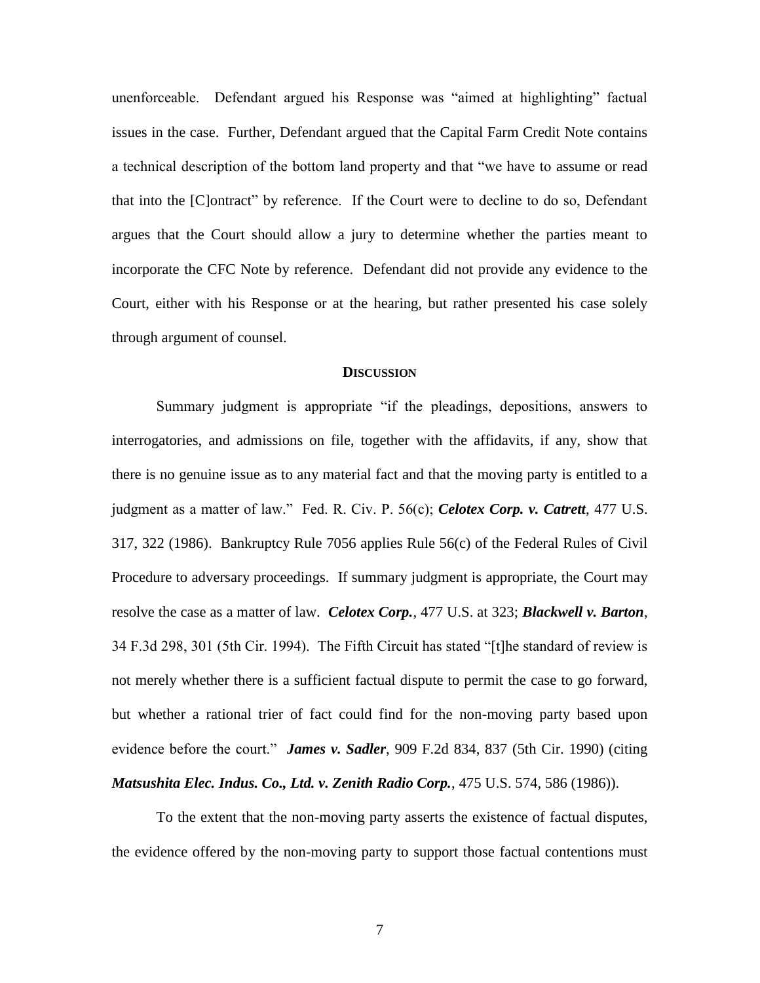unenforceable. Defendant argued his Response was "aimed at highlighting" factual issues in the case. Further, Defendant argued that the Capital Farm Credit Note contains a technical description of the bottom land property and that "we have to assume or read that into the [C]ontract" by reference. If the Court were to decline to do so, Defendant argues that the Court should allow a jury to determine whether the parties meant to incorporate the CFC Note by reference. Defendant did not provide any evidence to the Court, either with his Response or at the hearing, but rather presented his case solely through argument of counsel.

#### **DISCUSSION**

Summary judgment is appropriate "if the pleadings, depositions, answers to interrogatories, and admissions on file, together with the affidavits, if any, show that there is no genuine issue as to any material fact and that the moving party is entitled to a judgment as a matter of law." Fed. R. Civ. P. 56(c); *Celotex Corp. v. Catrett*, 477 U.S. 317, 322 (1986). Bankruptcy Rule 7056 applies Rule 56(c) of the Federal Rules of Civil Procedure to adversary proceedings. If summary judgment is appropriate, the Court may resolve the case as a matter of law. *Celotex Corp.*, 477 U.S. at 323; *Blackwell v. Barton*, 34 F.3d 298, 301 (5th Cir. 1994). The Fifth Circuit has stated "[t]he standard of review is not merely whether there is a sufficient factual dispute to permit the case to go forward, but whether a rational trier of fact could find for the non-moving party based upon evidence before the court." *James v. Sadler*, 909 F.2d 834, 837 (5th Cir. 1990) (citing *Matsushita Elec. Indus. Co., Ltd. v. Zenith Radio Corp.*, 475 U.S. 574, 586 (1986)).

To the extent that the non-moving party asserts the existence of factual disputes, the evidence offered by the non-moving party to support those factual contentions must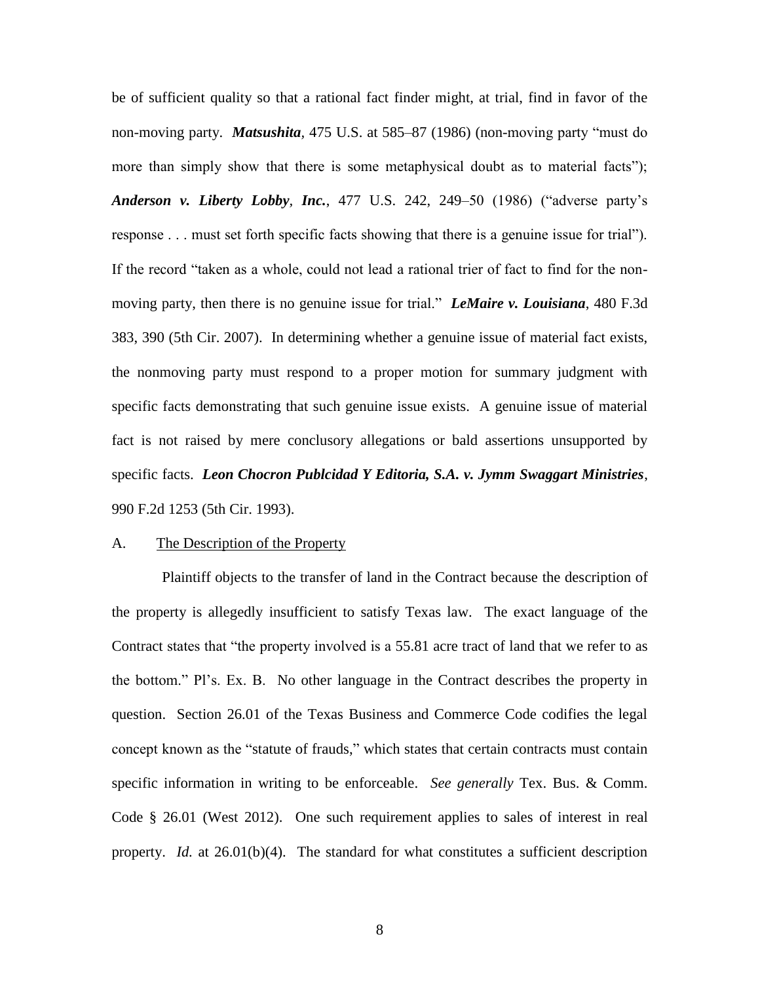be of sufficient quality so that a rational fact finder might, at trial, find in favor of the non-moving party. *Matsushita,* 475 U.S. at 585–87 (1986) (non-moving party "must do more than simply show that there is some metaphysical doubt as to material facts"); *Anderson v. Liberty Lobby, Inc.*, 477 U.S. 242, 249–50 (1986) ("adverse party's response . . . must set forth specific facts showing that there is a genuine issue for trial"). If the record "taken as a whole, could not lead a rational trier of fact to find for the nonmoving party, then there is no genuine issue for trial." *LeMaire v. Louisiana*, 480 F.3d 383, 390 (5th Cir. 2007). In determining whether a genuine issue of material fact exists, the nonmoving party must respond to a proper motion for summary judgment with specific facts demonstrating that such genuine issue exists. A genuine issue of material fact is not raised by mere conclusory allegations or bald assertions unsupported by specific facts. *Leon Chocron Publcidad Y Editoria, S.A. v. Jymm Swaggart Ministries*, 990 F.2d 1253 (5th Cir. 1993).

#### A. The Description of the Property

Plaintiff objects to the transfer of land in the Contract because the description of the property is allegedly insufficient to satisfy Texas law. The exact language of the Contract states that "the property involved is a 55.81 acre tract of land that we refer to as the bottom." Pl's. Ex. B. No other language in the Contract describes the property in question. Section 26.01 of the Texas Business and Commerce Code codifies the legal concept known as the "statute of frauds," which states that certain contracts must contain specific information in writing to be enforceable. *See generally* Tex. Bus. & Comm. Code § 26.01 (West 2012). One such requirement applies to sales of interest in real property. *Id.* at 26.01(b)(4). The standard for what constitutes a sufficient description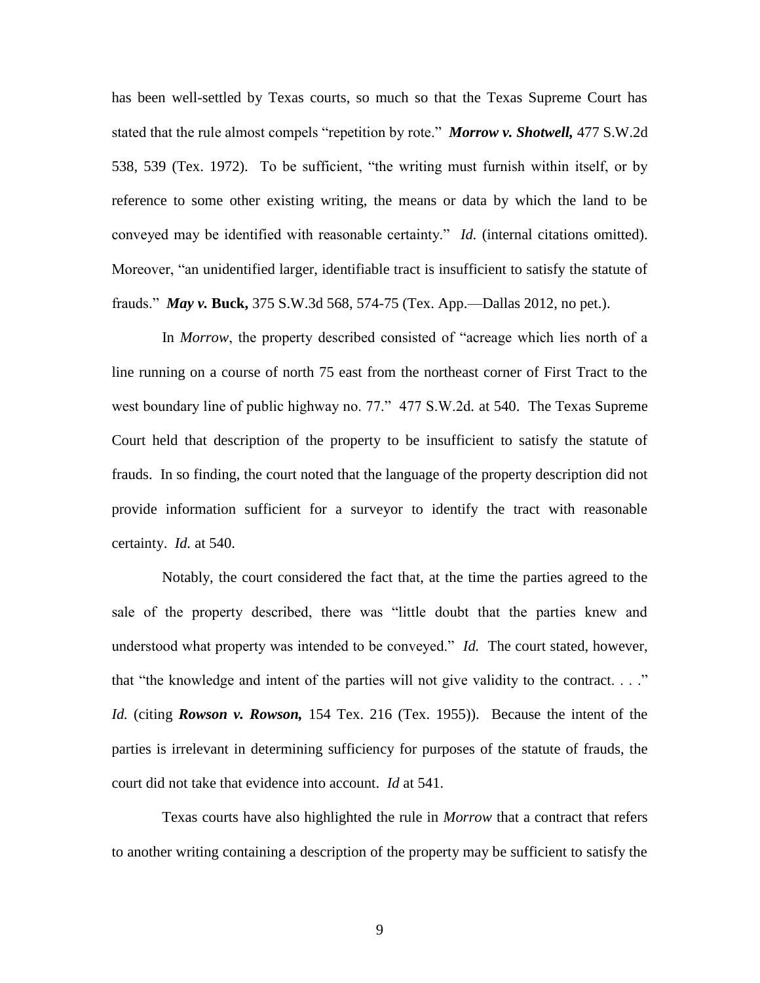has been well-settled by Texas courts, so much so that the Texas Supreme Court has stated that the rule almost compels "repetition by rote." *Morrow v. Shotwell,* 477 S.W.2d 538, 539 (Tex. 1972). To be sufficient, "the writing must furnish within itself, or by reference to some other existing writing, the means or data by which the land to be conveyed may be identified with reasonable certainty." *Id.* (internal citations omitted). Moreover, "an unidentified larger, identifiable tract is insufficient to satisfy the statute of frauds." *May v.* **Buck,** 375 S.W.3d 568, 574-75 (Tex. App.—Dallas 2012, no pet.).

In *Morrow*, the property described consisted of "acreage which lies north of a line running on a course of north 75 east from the northeast corner of First Tract to the west boundary line of public highway no. 77." 477 S.W.2d*.* at 540. The Texas Supreme Court held that description of the property to be insufficient to satisfy the statute of frauds. In so finding, the court noted that the language of the property description did not provide information sufficient for a surveyor to identify the tract with reasonable certainty. *Id.* at 540.

Notably, the court considered the fact that, at the time the parties agreed to the sale of the property described, there was "little doubt that the parties knew and understood what property was intended to be conveyed." *Id.* The court stated, however, that "the knowledge and intent of the parties will not give validity to the contract. . . ." *Id.* (citing *Rowson v. Rowson,* 154 Tex. 216 (Tex. 1955)). Because the intent of the parties is irrelevant in determining sufficiency for purposes of the statute of frauds, the court did not take that evidence into account. *Id* at 541.

Texas courts have also highlighted the rule in *Morrow* that a contract that refers to another writing containing a description of the property may be sufficient to satisfy the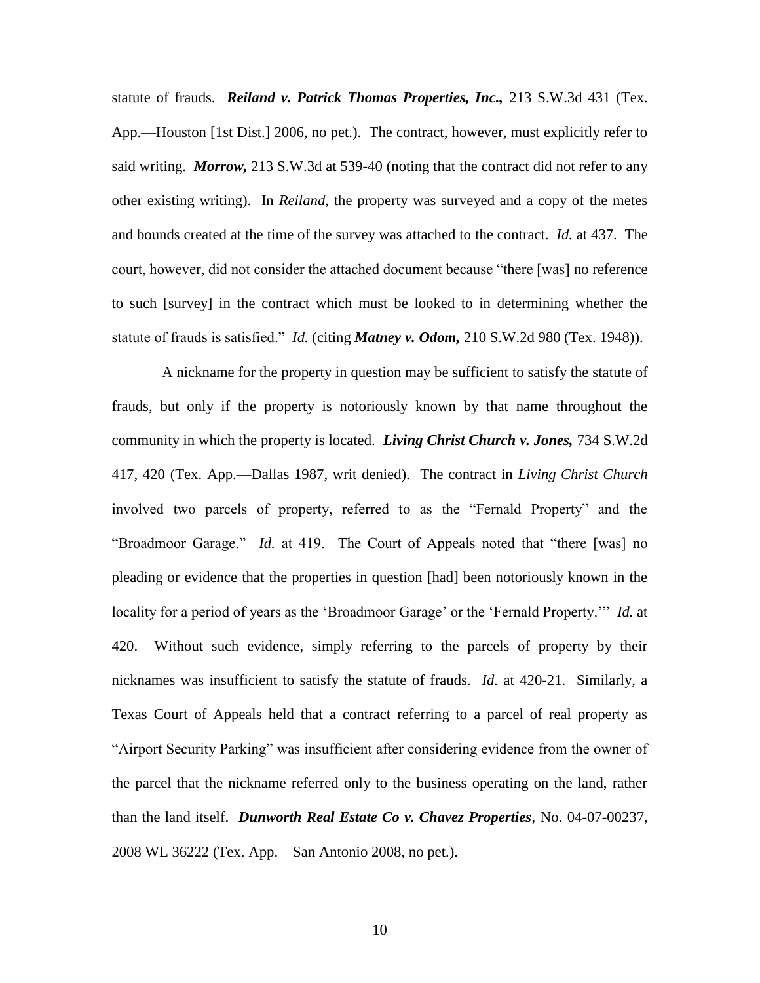statute of frauds. *Reiland v. Patrick Thomas Properties, Inc.,* 213 S.W.3d 431 (Tex. App.—Houston [1st Dist.] 2006, no pet.). The contract, however, must explicitly refer to said writing. *Morrow,* 213 S.W.3d at 539-40 (noting that the contract did not refer to any other existing writing). In *Reiland*, the property was surveyed and a copy of the metes and bounds created at the time of the survey was attached to the contract. *Id.* at 437. The court, however, did not consider the attached document because "there [was] no reference to such [survey] in the contract which must be looked to in determining whether the statute of frauds is satisfied." *Id.* (citing *Matney v. Odom,* 210 S.W.2d 980 (Tex. 1948)).

A nickname for the property in question may be sufficient to satisfy the statute of frauds, but only if the property is notoriously known by that name throughout the community in which the property is located. *Living Christ Church v. Jones,* 734 S.W.2d 417, 420 (Tex. App.—Dallas 1987, writ denied). The contract in *Living Christ Church*  involved two parcels of property, referred to as the "Fernald Property" and the "Broadmoor Garage." *Id.* at 419. The Court of Appeals noted that "there [was] no pleading or evidence that the properties in question [had] been notoriously known in the locality for a period of years as the 'Broadmoor Garage' or the 'Fernald Property.'" *Id.* at 420. Without such evidence, simply referring to the parcels of property by their nicknames was insufficient to satisfy the statute of frauds. *Id.* at 420-21. Similarly, a Texas Court of Appeals held that a contract referring to a parcel of real property as "Airport Security Parking" was insufficient after considering evidence from the owner of the parcel that the nickname referred only to the business operating on the land, rather than the land itself. *Dunworth Real Estate Co v. Chavez Properties*, No. 04-07-00237, 2008 WL 36222 (Tex. App.—San Antonio 2008, no pet.).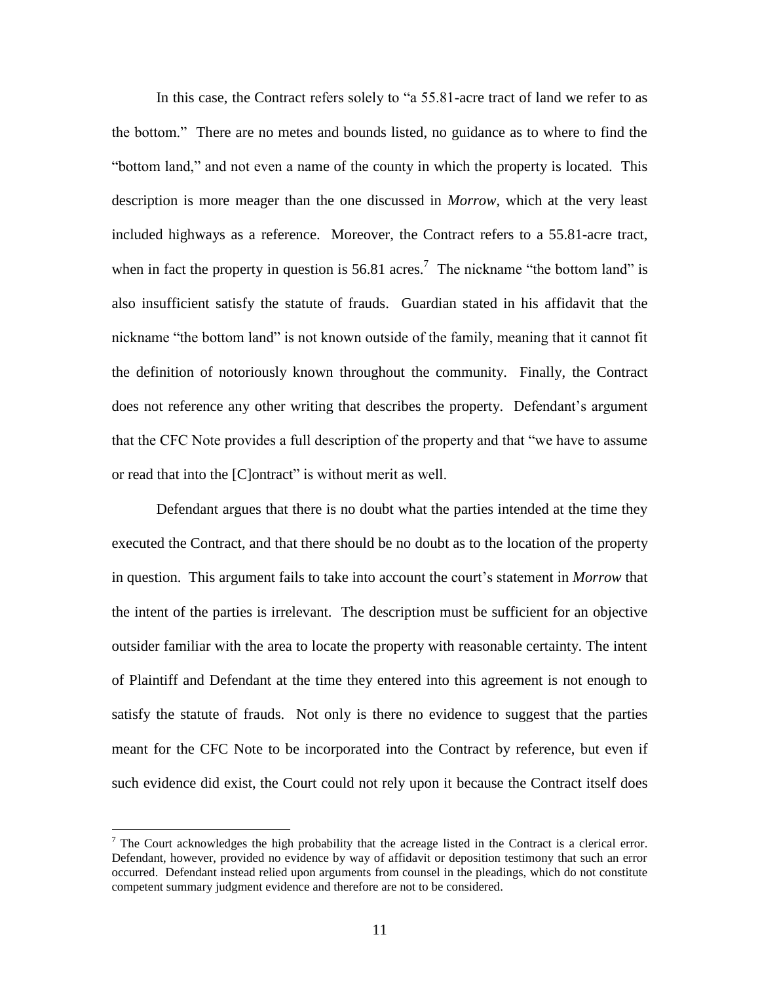In this case, the Contract refers solely to "a 55.81-acre tract of land we refer to as the bottom." There are no metes and bounds listed, no guidance as to where to find the "bottom land," and not even a name of the county in which the property is located. This description is more meager than the one discussed in *Morrow*, which at the very least included highways as a reference. Moreover, the Contract refers to a 55.81-acre tract, when in fact the property in question is  $56.81$  acres.<sup>7</sup> The nickname "the bottom land" is also insufficient satisfy the statute of frauds. Guardian stated in his affidavit that the nickname "the bottom land" is not known outside of the family, meaning that it cannot fit the definition of notoriously known throughout the community. Finally, the Contract does not reference any other writing that describes the property. Defendant's argument that the CFC Note provides a full description of the property and that "we have to assume or read that into the [C]ontract" is without merit as well.

Defendant argues that there is no doubt what the parties intended at the time they executed the Contract, and that there should be no doubt as to the location of the property in question. This argument fails to take into account the court's statement in *Morrow* that the intent of the parties is irrelevant. The description must be sufficient for an objective outsider familiar with the area to locate the property with reasonable certainty. The intent of Plaintiff and Defendant at the time they entered into this agreement is not enough to satisfy the statute of frauds. Not only is there no evidence to suggest that the parties meant for the CFC Note to be incorporated into the Contract by reference, but even if such evidence did exist, the Court could not rely upon it because the Contract itself does

<sup>&</sup>lt;sup>7</sup> The Court acknowledges the high probability that the acreage listed in the Contract is a clerical error. Defendant, however, provided no evidence by way of affidavit or deposition testimony that such an error occurred. Defendant instead relied upon arguments from counsel in the pleadings, which do not constitute competent summary judgment evidence and therefore are not to be considered.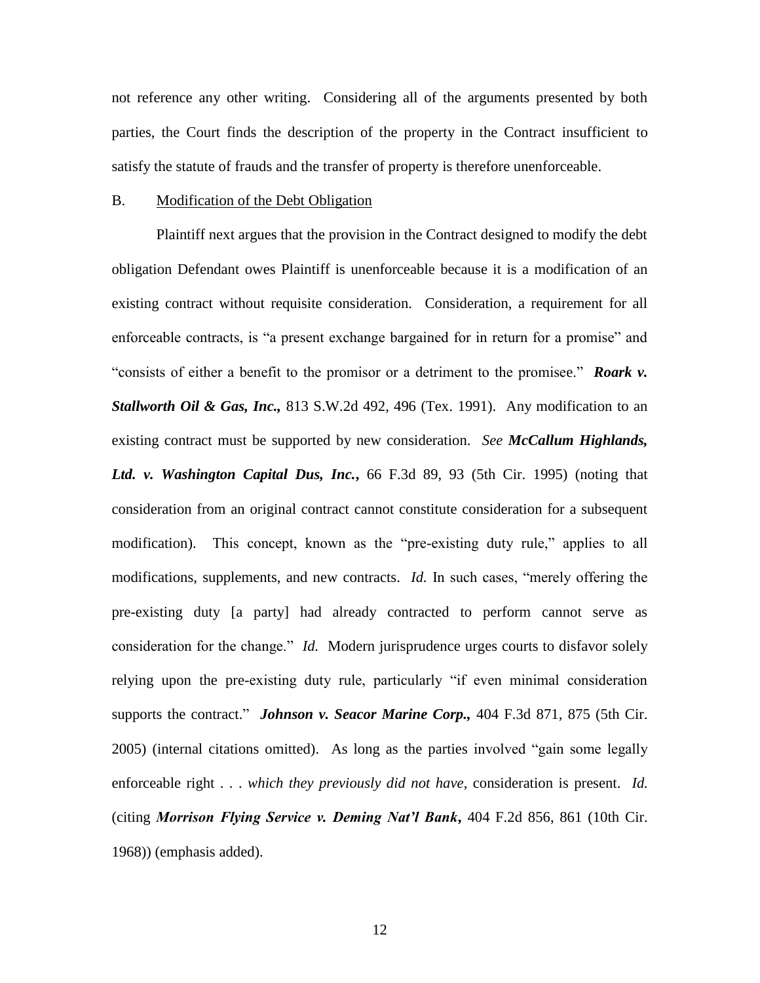not reference any other writing. Considering all of the arguments presented by both parties, the Court finds the description of the property in the Contract insufficient to satisfy the statute of frauds and the transfer of property is therefore unenforceable.

### B. Modification of the Debt Obligation

Plaintiff next argues that the provision in the Contract designed to modify the debt obligation Defendant owes Plaintiff is unenforceable because it is a modification of an existing contract without requisite consideration. Consideration, a requirement for all enforceable contracts, is "a present exchange bargained for in return for a promise" and "consists of either a benefit to the promisor or a detriment to the promisee." *Roark v. Stallworth Oil & Gas, Inc.,* 813 S.W.2d 492, 496 (Tex. 1991). Any modification to an existing contract must be supported by new consideration. *See McCallum Highlands, Ltd. v. Washington Capital Dus, Inc.***,** 66 F.3d 89, 93 (5th Cir. 1995) (noting that consideration from an original contract cannot constitute consideration for a subsequent modification). This concept, known as the "pre-existing duty rule," applies to all modifications, supplements, and new contracts. *Id.* In such cases, "merely offering the pre-existing duty [a party] had already contracted to perform cannot serve as consideration for the change." *Id.* Modern jurisprudence urges courts to disfavor solely relying upon the pre-existing duty rule, particularly "if even minimal consideration supports the contract." *Johnson v. Seacor Marine Corp.,* 404 F.3d 871, 875 (5th Cir. 2005) (internal citations omitted). As long as the parties involved "gain some legally enforceable right . . . *which they previously did not have*, consideration is present. *Id.* (citing *Morrison Flying Service v. Deming Nat'l Bank***,** 404 F.2d 856, 861 (10th Cir. 1968)) (emphasis added).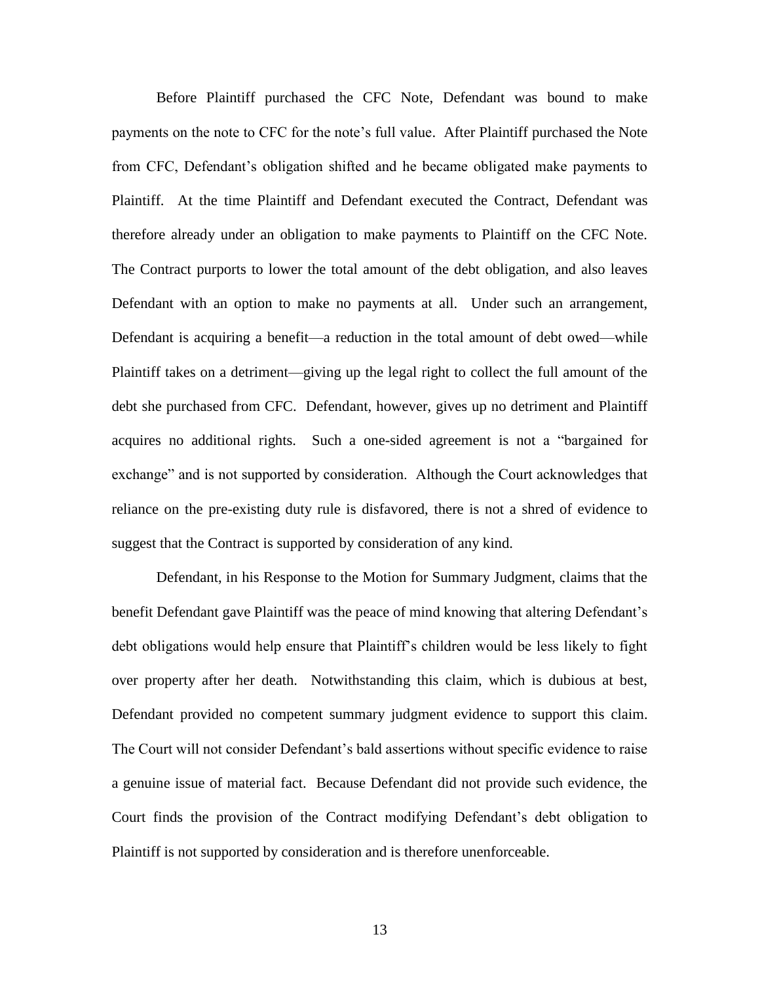Before Plaintiff purchased the CFC Note, Defendant was bound to make payments on the note to CFC for the note's full value. After Plaintiff purchased the Note from CFC, Defendant's obligation shifted and he became obligated make payments to Plaintiff. At the time Plaintiff and Defendant executed the Contract, Defendant was therefore already under an obligation to make payments to Plaintiff on the CFC Note. The Contract purports to lower the total amount of the debt obligation, and also leaves Defendant with an option to make no payments at all. Under such an arrangement, Defendant is acquiring a benefit—a reduction in the total amount of debt owed—while Plaintiff takes on a detriment—giving up the legal right to collect the full amount of the debt she purchased from CFC. Defendant, however, gives up no detriment and Plaintiff acquires no additional rights. Such a one-sided agreement is not a "bargained for exchange" and is not supported by consideration. Although the Court acknowledges that reliance on the pre-existing duty rule is disfavored, there is not a shred of evidence to suggest that the Contract is supported by consideration of any kind.

Defendant, in his Response to the Motion for Summary Judgment, claims that the benefit Defendant gave Plaintiff was the peace of mind knowing that altering Defendant's debt obligations would help ensure that Plaintiff's children would be less likely to fight over property after her death. Notwithstanding this claim, which is dubious at best, Defendant provided no competent summary judgment evidence to support this claim. The Court will not consider Defendant's bald assertions without specific evidence to raise a genuine issue of material fact. Because Defendant did not provide such evidence, the Court finds the provision of the Contract modifying Defendant's debt obligation to Plaintiff is not supported by consideration and is therefore unenforceable.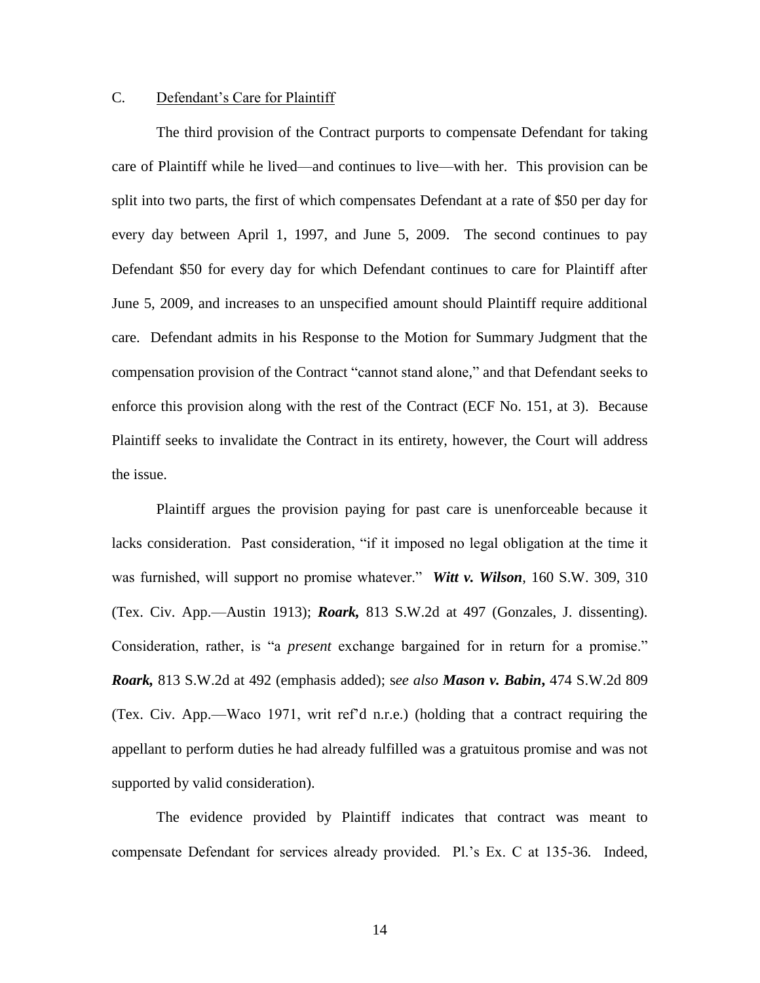# C. Defendant's Care for Plaintiff

The third provision of the Contract purports to compensate Defendant for taking care of Plaintiff while he lived—and continues to live—with her. This provision can be split into two parts, the first of which compensates Defendant at a rate of \$50 per day for every day between April 1, 1997, and June 5, 2009. The second continues to pay Defendant \$50 for every day for which Defendant continues to care for Plaintiff after June 5, 2009, and increases to an unspecified amount should Plaintiff require additional care. Defendant admits in his Response to the Motion for Summary Judgment that the compensation provision of the Contract "cannot stand alone," and that Defendant seeks to enforce this provision along with the rest of the Contract (ECF No. 151, at 3). Because Plaintiff seeks to invalidate the Contract in its entirety, however, the Court will address the issue.

Plaintiff argues the provision paying for past care is unenforceable because it lacks consideration. Past consideration, "if it imposed no legal obligation at the time it was furnished, will support no promise whatever." *Witt v. Wilson*, 160 S.W. 309, 310 (Tex. Civ. App.—Austin 1913); *Roark,* 813 S.W.2d at 497 (Gonzales, J. dissenting). Consideration, rather, is "a *present* exchange bargained for in return for a promise." *Roark,* 813 S.W.2d at 492 (emphasis added); s*ee also Mason v. Babin***,** 474 S.W.2d 809 (Tex. Civ. App.—Waco 1971, writ ref'd n.r.e.) (holding that a contract requiring the appellant to perform duties he had already fulfilled was a gratuitous promise and was not supported by valid consideration).

The evidence provided by Plaintiff indicates that contract was meant to compensate Defendant for services already provided. Pl.'s Ex. C at 135-36. Indeed,

14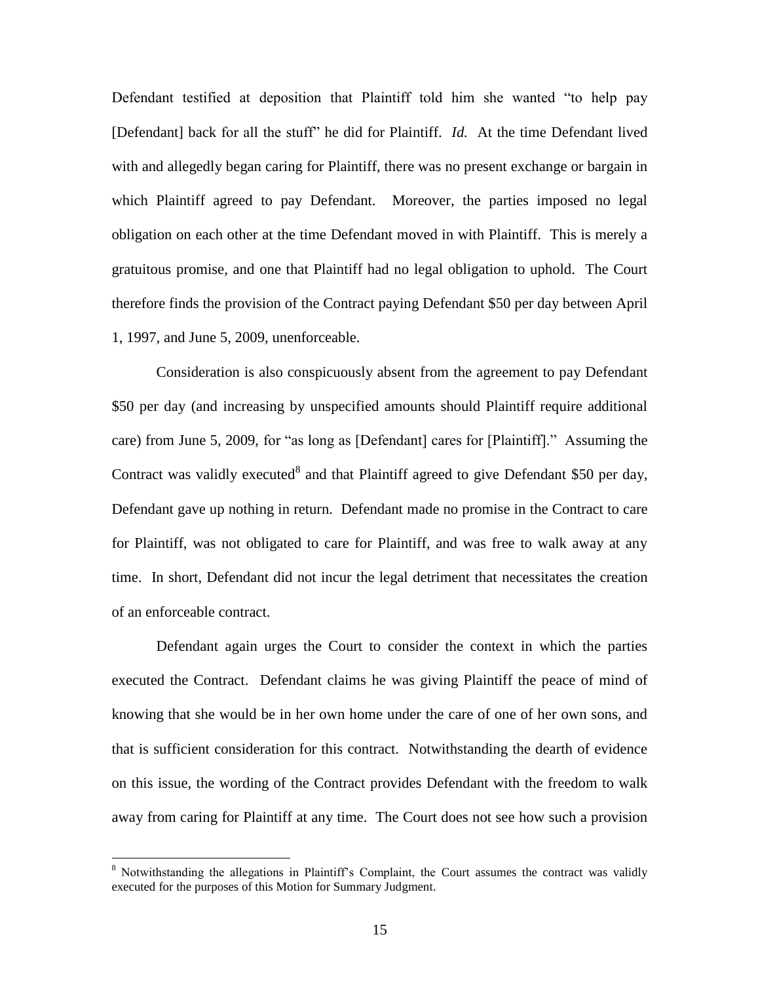Defendant testified at deposition that Plaintiff told him she wanted "to help pay [Defendant] back for all the stuff" he did for Plaintiff. *Id.* At the time Defendant lived with and allegedly began caring for Plaintiff, there was no present exchange or bargain in which Plaintiff agreed to pay Defendant. Moreover, the parties imposed no legal obligation on each other at the time Defendant moved in with Plaintiff. This is merely a gratuitous promise, and one that Plaintiff had no legal obligation to uphold. The Court therefore finds the provision of the Contract paying Defendant \$50 per day between April 1, 1997, and June 5, 2009, unenforceable.

Consideration is also conspicuously absent from the agreement to pay Defendant \$50 per day (and increasing by unspecified amounts should Plaintiff require additional care) from June 5, 2009, for "as long as [Defendant] cares for [Plaintiff]." Assuming the Contract was validly executed<sup>8</sup> and that Plaintiff agreed to give Defendant \$50 per day, Defendant gave up nothing in return. Defendant made no promise in the Contract to care for Plaintiff, was not obligated to care for Plaintiff, and was free to walk away at any time. In short, Defendant did not incur the legal detriment that necessitates the creation of an enforceable contract.

Defendant again urges the Court to consider the context in which the parties executed the Contract. Defendant claims he was giving Plaintiff the peace of mind of knowing that she would be in her own home under the care of one of her own sons, and that is sufficient consideration for this contract. Notwithstanding the dearth of evidence on this issue, the wording of the Contract provides Defendant with the freedom to walk away from caring for Plaintiff at any time. The Court does not see how such a provision

<sup>8</sup> Notwithstanding the allegations in Plaintiff's Complaint, the Court assumes the contract was validly executed for the purposes of this Motion for Summary Judgment.